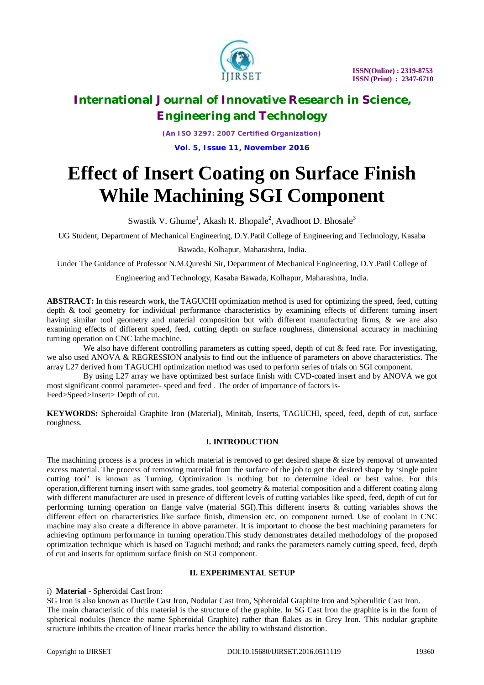

*(An ISO 3297: 2007 Certified Organization)* **Vol. 5, Issue 11, November 2016**

# **Effect of Insert Coating on Surface Finish While Machining SGI Component**

Swastik V. Ghume<sup>1</sup>, Akash R. Bhopale<sup>2</sup>, Avadhoot D. Bhosale<sup>3</sup>

UG Student, Department of Mechanical Engineering, D.Y.Patil College of Engineering and Technology, Kasaba

### Bawada, Kolhapur, Maharashtra, India.

Under The Guidance of Professor N.M.Qureshi Sir, Department of Mechanical Engineering, D.Y.Patil College of

Engineering and Technology, Kasaba Bawada, Kolhapur, Maharashtra, India.

**ABSTRACT:** In this research work, the TAGUCHI optimization method is used for optimizing the speed, feed, cutting depth & tool geometry for individual performance characteristics by examining effects of different turning insert having similar tool geometry and material composition but with different manufacturing firms, & we are also examining effects of different speed, feed, cutting depth on surface roughness, dimensional accuracy in machining turning operation on CNC lathe machine.

We also have different controlling parameters as cutting speed, depth of cut & feed rate. For investigating, we also used ANOVA & REGRESSION analysis to find out the influence of parameters on above characteristics. The array L27 derived from TAGUCHI optimization method was used to perform series of trials on SGI component.

 By using L27 array we have optimized best surface finish with CVD-coated insert and by ANOVA we got most significant control parameter- speed and feed . The order of importance of factors is-Feed>Speed>Insert> Depth of cut.

**KEYWORDS:** Spheroidal Graphite Iron (Material), Minitab, Inserts, TAGUCHI, speed, feed, depth of cut, surface roughness.

# **I. INTRODUCTION**

The machining process is a process in which material is removed to get desired shape  $\&$  size by removal of unwanted excess material. The process of removing material from the surface of the job to get the desired shape by 'single point cutting tool' is known as Turning. Optimization is nothing but to determine ideal or best value. For this operation,different turning insert with same grades, tool geometry & material composition and a different coating along with different manufacturer are used in presence of different levels of cutting variables like speed, feed, depth of cut for performing turning operation on flange valve (material SGI).This different inserts & cutting variables shows the different effect on characteristics like surface finish, dimension etc. on component turned. Use of coolant in CNC machine may also create a difference in above parameter. It is important to choose the best machining parameters for achieving optimum performance in turning operation.This study demonstrates detailed methodology of the proposed optimization technique which is based on Taguchi method; and ranks the parameters namely cutting speed, feed, depth of cut and inserts for optimum surface finish on SGI component.

### **II. EXPERIMENTAL SETUP**

# i) **Material** - Spheroidal Cast Iron:

SG Iron is also known as Ductile Cast Iron, Nodular Cast Iron, Spheroidal Graphite Iron and Spherulitic Cast Iron. The main characteristic of this material is the structure of the graphite. In SG Cast Iron the graphite is in the form of spherical nodules (hence the name Spheroidal Graphite) rather than flakes as in Grey Iron. This nodular graphite structure inhibits the creation of linear cracks hence the ability to withstand distortion.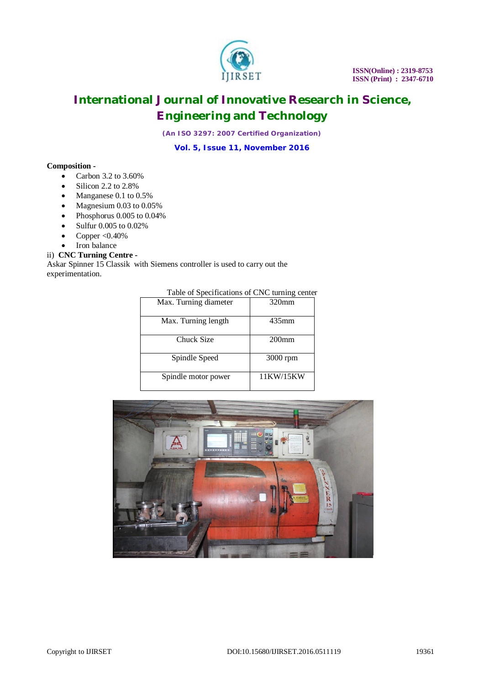

*(An ISO 3297: 2007 Certified Organization)*

**Vol. 5, Issue 11, November 2016**

### **Composition -**

- $\bullet$  Carbon 3.2 to 3.60%
- $\bullet$  Silicon 2.2 to 2.8%
- Manganese 0.1 to 0.5%
- Magnesium 0.03 to 0.05%
- Phosphorus 0.005 to 0.04%
- Sulfur 0.005 to 0.02%
- Copper < $0.40\%$
- Iron balance

### ii) **CNC Turning Centre -**

Askar Spinner 15 Classik with Siemens controller is used to carry out the experimentation.

| Table of Specifications of CNC turning center |  |
|-----------------------------------------------|--|
|-----------------------------------------------|--|

| Max. Turning diameter | $320$ mm  |
|-----------------------|-----------|
| Max. Turning length   | 435mm     |
| Chuck Size            | $200$ mm  |
| Spindle Speed         | 3000 rpm  |
| Spindle motor power   | 11KW/15KW |

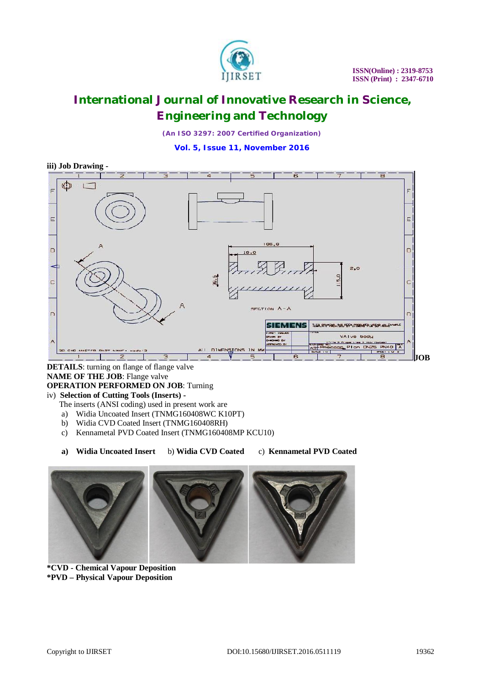

*(An ISO 3297: 2007 Certified Organization)*

**Vol. 5, Issue 11, November 2016**



# **DETAILS**: turning on flange of flange valve **NAME OF THE JOB**: Flange valve **OPERATION PERFORMED ON JOB**: Turning

### iv) **Selection of Cutting Tools (Inserts) -**

The inserts (ANSI coding) used in present work are

- a) Widia Uncoated Insert (TNMG160408WC K10PT)
- b) Widia CVD Coated Insert (TNMG160408RH)
- c) Kennametal PVD Coated Insert (TNMG160408MP KCU10)
- **a) Widia Uncoated Insert** b) **Widia CVD Coated** c) **Kennametal PVD Coated**



**\*CVD - Chemical Vapour Deposition \*PVD – Physical Vapour Deposition**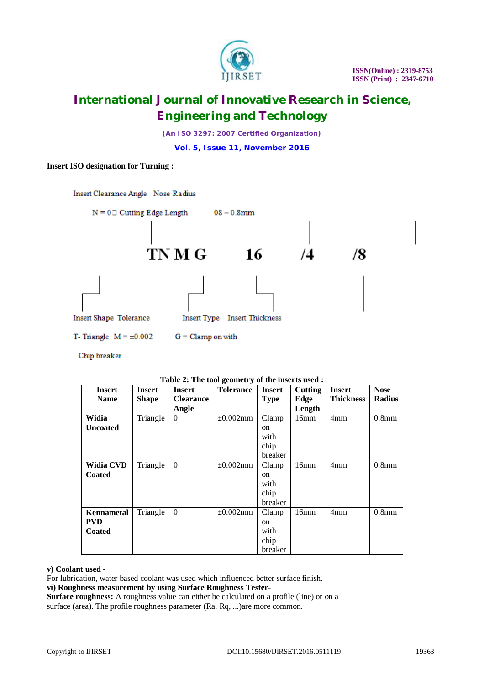

*(An ISO 3297: 2007 Certified Organization)*

**Vol. 5, Issue 11, November 2016**

### **Insert ISO designation for Turning :**



Chip breaker

| $\frac{1}{2}$ and $\frac{1}{2}$ . The tool geometry of the msel is used. |               |                  |                  |               |         |                  |                   |
|--------------------------------------------------------------------------|---------------|------------------|------------------|---------------|---------|------------------|-------------------|
| <b>Insert</b>                                                            | <b>Insert</b> | <b>Insert</b>    | <b>Tolerance</b> | <b>Insert</b> | Cutting | <b>Insert</b>    | <b>Nose</b>       |
| <b>Name</b>                                                              | <b>Shape</b>  | <b>Clearance</b> |                  | <b>Type</b>   | Edge    | <b>Thickness</b> | <b>Radius</b>     |
|                                                                          |               | Angle            |                  |               | Length  |                  |                   |
| Widia                                                                    | Triangle      | $\Omega$         | $\pm 0.002$ mm   | Clamp         | 16mm    | 4mm              | 0.8 <sub>mm</sub> |
| <b>Uncoated</b>                                                          |               |                  |                  | on            |         |                  |                   |
|                                                                          |               |                  |                  | with          |         |                  |                   |
|                                                                          |               |                  |                  | chip          |         |                  |                   |
|                                                                          |               |                  |                  | breaker       |         |                  |                   |
| <b>Widia CVD</b>                                                         | Triangle      | $\Omega$         | $\pm 0.002$ mm   | Clamp         | 16mm    | 4mm              | 0.8 <sub>mm</sub> |
| <b>Coated</b>                                                            |               |                  |                  | on            |         |                  |                   |
|                                                                          |               |                  |                  | with          |         |                  |                   |
|                                                                          |               |                  |                  | chip          |         |                  |                   |
|                                                                          |               |                  |                  | breaker       |         |                  |                   |
| Kennametal                                                               | Triangle      | $\Omega$         | $\pm 0.002$ mm   | Clamp         | 16mm    | 4mm              | 0.8 <sub>mm</sub> |
| <b>PVD</b>                                                               |               |                  |                  | <sub>on</sub> |         |                  |                   |
| <b>Coated</b>                                                            |               |                  |                  | with          |         |                  |                   |
|                                                                          |               |                  |                  | chip          |         |                  |                   |
|                                                                          |               |                  |                  | breaker       |         |                  |                   |

## **Table 2: The tool geometry of the inserts used :**

#### **v) Coolant used -**

For lubrication, water based coolant was used which influenced better surface finish.

**vi) Roughness measurement by using Surface Roughness Tester-**

**Surface roughness:** A roughness value can either be calculated on a profile (line) or on a surface (area). The profile roughness parameter (Ra, Rq, ...)are more common.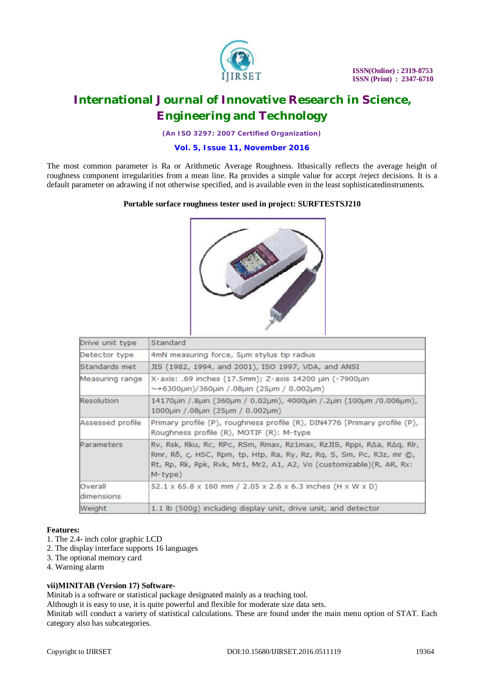

*(An ISO 3297: 2007 Certified Organization)*

# **Vol. 5, Issue 11, November 2016**

The most common parameter is Ra or Arithmetic Average Roughness. Itbasically reflects the average height of roughness component irregularities from a mean line. Ra provides a simple value for accept /reject decisions. It is a default parameter on adrawing if not otherwise specified, and is available even in the least sophisticatedinstruments.

### **Portable surface roughness tester used in project: SURFTESTSJ210**



| Drive unit type       | Standard                                                                                                                                                                                                                               |  |  |  |  |  |
|-----------------------|----------------------------------------------------------------------------------------------------------------------------------------------------------------------------------------------------------------------------------------|--|--|--|--|--|
| Detector type         | 4mN measuring force, 5µm stylus tip radius                                                                                                                                                                                             |  |  |  |  |  |
| Standards met         | JIS (1982, 1994, and 2001), ISO 1997, VDA, and ANSI                                                                                                                                                                                    |  |  |  |  |  |
| Measuring range       | X-axis: .69 inches (17.5mm); Z-axis 14200 µin (-7900µin<br>$\sim$ +6300µin)/360µin /.08µin (25µm / 0.002µm)                                                                                                                            |  |  |  |  |  |
| Resolution            | 14170µin /.8µin (360µm / 0.02µm), 4000µin /.2µin (100µm /0.006µm),<br>1000uin / .08uin (25um / 0.002um)                                                                                                                                |  |  |  |  |  |
| Assessed profile      | Primary profile (P), roughness profile (R), DIN4776 [Primary profile (P),<br>Roughness profile (R), MOTIF (R): M-type                                                                                                                  |  |  |  |  |  |
| Parameters            | Rv, Rsk, Rku, Rc, RPc, RSm, Rmax, Rz1max, RzJIS, Rppi, R∆a, R∆q, Rlr,<br>Rmr, Ro, c, HSC, Rpm, tp, Htp, Ra, Ry, Rz, Rq, S, Sm, Pc, R3z, mr ©,<br>Rt, Rp, Rk, Rpk, Rvk, Mr1, Mr2, A1, A2, Vo (customizable)(R, AR, Rx:<br>$M$ -type $)$ |  |  |  |  |  |
| Overall<br>dimensions | 52.1 x 65.8 x 160 mm / 2.05 x 2.6 x 6.3 inches (H x W x D)                                                                                                                                                                             |  |  |  |  |  |
| Weight                | 1.1 lb (500g) including display unit, drive unit, and detector                                                                                                                                                                         |  |  |  |  |  |

### **Features:**

- 1. The 2.4- inch color graphic LCD
- 2. The display interface supports 16 languages
- 3. The optional memory card
- 4. Warning alarm

### **vii)MINITAB (Version 17) Software-**

Minitab is a software or statistical package designated mainly as a teaching tool.

Although it is easy to use, it is quite powerful and flexible for moderate size data sets.

Minitab will conduct a variety of statistical calculations. These are found under the main menu option of STAT. Each category also has subcategories.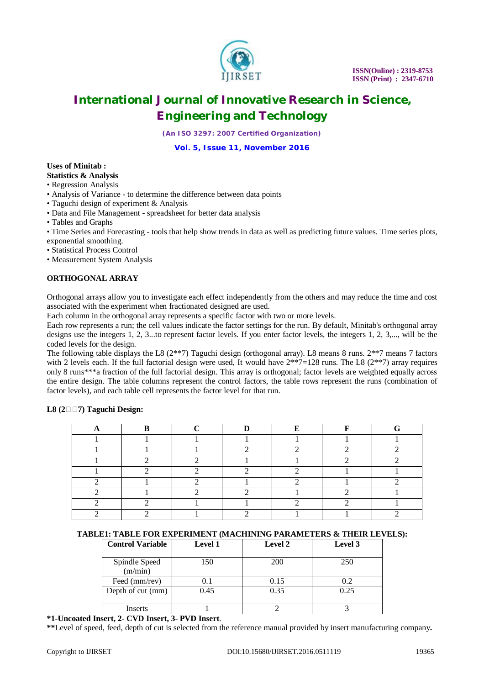

*(An ISO 3297: 2007 Certified Organization)*

**Vol. 5, Issue 11, November 2016**

#### **Uses of Minitab : Statistics & Analysis**

• Regression Analysis

- Analysis of Variance to determine the difference between data points
- Taguchi design of experiment & Analysis
- Data and File Management spreadsheet for better data analysis
- Tables and Graphs

• Time Series and Forecasting - tools that help show trends in data as well as predicting future values. Time series plots, exponential smoothing.

• Statistical Process Control

• Measurement System Analysis

### **ORTHOGONAL ARRAY**

Orthogonal arrays allow you to investigate each effect independently from the others and may reduce the time and cost associated with the experiment when fractionated designed are used.

Each column in the orthogonal array represents a specific factor with two or more levels.

Each row represents a run; the cell values indicate the factor settings for the run. By default, Minitab's orthogonal array designs use the integers 1, 2, 3...to represent factor levels. If you enter factor levels, the integers 1, 2, 3,..., will be the coded levels for the design.

The following table displays the L8 (2\*\*7) Taguchi design (orthogonal array). L8 means 8 runs. 2\*\*7 means 7 factors with 2 levels each. If the full factorial design were used, It would have  $2**7=128$  runs. The L8  $(2**7)$  array requires only 8 runs\*\*\*a fraction of the full factorial design. This array is orthogonal; factor levels are weighted equally across the entire design. The table columns represent the control factors, the table rows represent the runs (combination of factor levels), and each table cell represents the factor level for that run.

### **L8 (27) Taguchi Design:**

| Ð            | $\mathbf{r}$ | T.                       | T.     |  |
|--------------|--------------|--------------------------|--------|--|
| $\mathbf{r}$ |              | $\overline{\phantom{a}}$ | $\sim$ |  |
|              | $\sim$       |                          |        |  |
|              |              |                          |        |  |
|              |              |                          |        |  |
|              |              |                          |        |  |
|              |              |                          |        |  |
|              |              |                          |        |  |
|              |              |                          |        |  |

### **TABLE1: TABLE FOR EXPERIMENT (MACHINING PARAMETERS & THEIR LEVELS):**

| <b>Control Variable</b>  | <b>Level 1</b> | Level 2    | Level 3 |
|--------------------------|----------------|------------|---------|
| Spindle Speed<br>(m/min) | 150            | <b>200</b> | 250     |
| Feed (mm/rev)            | 0.1            | 0.15       | 0.2     |
| Depth of cut (mm)        | 0.45           | 0.35       | 0.25    |
| Inserts                  |                |            |         |

**\*1-Uncoated Insert, 2- CVD Insert, 3- PVD Insert**.

**\*\***Level of speed, feed, depth of cut is selected from the reference manual provided by insert manufacturing company**.**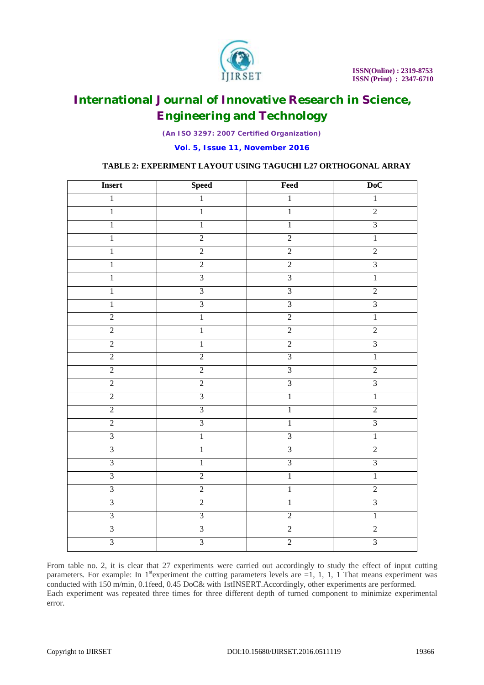

*(An ISO 3297: 2007 Certified Organization)*

**Vol. 5, Issue 11, November 2016**

# **TABLE 2: EXPERIMENT LAYOUT USING TAGUCHI L27 ORTHOGONAL ARRAY**

| <b>Insert</b>  | <b>Speed</b>   | Feed           | DoC            |
|----------------|----------------|----------------|----------------|
| $1\,$          | $1\,$          | $\overline{1}$ | $\,1\,$        |
| $\overline{1}$ | $\overline{1}$ | $\overline{1}$ | $\overline{2}$ |
| 1              | $\mathbf{1}$   | $\mathbf{1}$   | $\overline{3}$ |
| $\,1\,$        | $\overline{2}$ | $\overline{2}$ | $\overline{1}$ |
| $\overline{1}$ | $\overline{2}$ | $\overline{2}$ | $\overline{2}$ |
| $\mathbf 1$    | $\overline{2}$ | $\overline{2}$ | $\overline{3}$ |
| $\mathbf{1}$   | $\overline{3}$ | $\overline{3}$ | $\overline{1}$ |
| $\overline{1}$ | $\overline{3}$ | $\overline{3}$ | $\overline{2}$ |
| $\mathbf 1$    | $\overline{3}$ | $\overline{3}$ | $\overline{3}$ |
| $\overline{2}$ | $\overline{1}$ | $\overline{2}$ | $\overline{1}$ |
| $\overline{2}$ | $\overline{1}$ | $\overline{2}$ | $\overline{2}$ |
| $\overline{2}$ | $\mathbf{1}$   | $\overline{2}$ | $\overline{3}$ |
| $\overline{2}$ | $\overline{2}$ | $\overline{3}$ | $\overline{1}$ |
| $\overline{2}$ | $\overline{2}$ | $\overline{3}$ | $\overline{2}$ |
| $\overline{2}$ | $\overline{2}$ | $\overline{3}$ | $\overline{3}$ |
| $\overline{2}$ | $\overline{3}$ | $\overline{1}$ | $\overline{1}$ |
| $\overline{2}$ | $\overline{3}$ | $\overline{1}$ | $\overline{2}$ |
| $\overline{2}$ | $\overline{3}$ | $\overline{1}$ | $\overline{3}$ |
| $\overline{3}$ | $\overline{1}$ | $\overline{3}$ | $\overline{1}$ |
| $\overline{3}$ | $\overline{1}$ | $\overline{3}$ | $\overline{2}$ |
| $\overline{3}$ | $\overline{1}$ | $\overline{3}$ | $\overline{3}$ |
| $\overline{3}$ | $\overline{2}$ | $\overline{1}$ | $\overline{1}$ |
| $\overline{3}$ | $\overline{2}$ | $\overline{1}$ | $\overline{2}$ |
| $\overline{3}$ | $\overline{2}$ | $\overline{1}$ | $\overline{3}$ |
| $\overline{3}$ | $\overline{3}$ | $\overline{2}$ | $\mathbf{1}$   |
| $\overline{3}$ | $\overline{3}$ | $\overline{2}$ | $\overline{2}$ |
| $\overline{3}$ | $\overline{3}$ | $\overline{2}$ | $\overline{3}$ |

From table no. 2, it is clear that 27 experiments were carried out accordingly to study the effect of input cutting parameters. For example: In  $1^{st}$  experiment the cutting parameters levels are  $=1, 1, 1, 1$ . That means experiment was conducted with 150 m/min, 0.1feed, 0.45 DoC& with 1stINSERT.Accordingly, other experiments are performed. Each experiment was repeated three times for three different depth of turned component to minimize experimental error.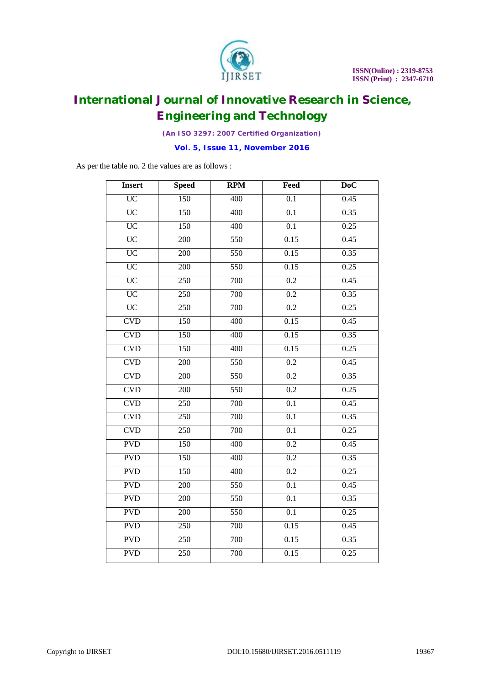

*(An ISO 3297: 2007 Certified Organization)*

**Vol. 5, Issue 11, November 2016**

As per the table no. 2 the values are as follows :

| <b>Insert</b>   | <b>Speed</b>     | <b>RPM</b> | Feed             | D <sub>o</sub> C |
|-----------------|------------------|------------|------------------|------------------|
| $\overline{UC}$ | 150              | 400        | 0.1              | 0.45             |
| $\overline{UC}$ | $\overline{150}$ | 400        | $\overline{0.1}$ | 0.35             |
| $\overline{UC}$ | 150              | 400        | $\overline{0.1}$ | 0.25             |
| $\overline{UC}$ | 200              | 550        | 0.15             | 0.45             |
| $\overline{UC}$ | 200              | 550        | 0.15             | 0.35             |
| <b>UC</b>       | $\overline{200}$ | 550        | 0.15             | 0.25             |
| $\overline{UC}$ | 250              | 700        | 0.2              | 0.45             |
| $\overline{UC}$ | 250              | 700        | 0.2              | 0.35             |
| <b>UC</b>       | 250              | 700        | 0.2              | 0.25             |
| CVD             | $\overline{150}$ | 400        | 0.15             | 0.45             |
| <b>CVD</b>      | 150              | 400        | 0.15             | 0.35             |
| CVD             | 150              | 400        | 0.15             | 0.25             |
| CVD             | $\overline{200}$ | 550        | $\overline{0.2}$ | 0.45             |
| CVD             | 200              | 550        | 0.2              | 0.35             |
| CVD             | $\overline{200}$ | 550        | $\overline{0.2}$ | 0.25             |
| CVD             | 250              | 700        | 0.1              | 0.45             |
| <b>CVD</b>      | $\overline{250}$ | 700        | $\overline{0.1}$ | 0.35             |
| <b>CVD</b>      | 250              | 700        | $\overline{0.1}$ | 0.25             |
| <b>PVD</b>      | 150              | 400        | 0.2              | 0.45             |
| <b>PVD</b>      | 150              | 400        | 0.2              | 0.35             |
| <b>PVD</b>      | 150              | 400        | 0.2              | 0.25             |
| <b>PVD</b>      | $\overline{200}$ | 550        | $\overline{0.1}$ | 0.45             |
| <b>PVD</b>      | 200              | 550        | 0.1              | 0.35             |
| <b>PVD</b>      | $\overline{200}$ | 550        | $\overline{0.1}$ | 0.25             |
| <b>PVD</b>      | 250              | 700        | 0.15             | 0.45             |
| <b>PVD</b>      | 250              | 700        | 0.15             | 0.35             |
| <b>PVD</b>      | 250              | 700        | 0.15             | 0.25             |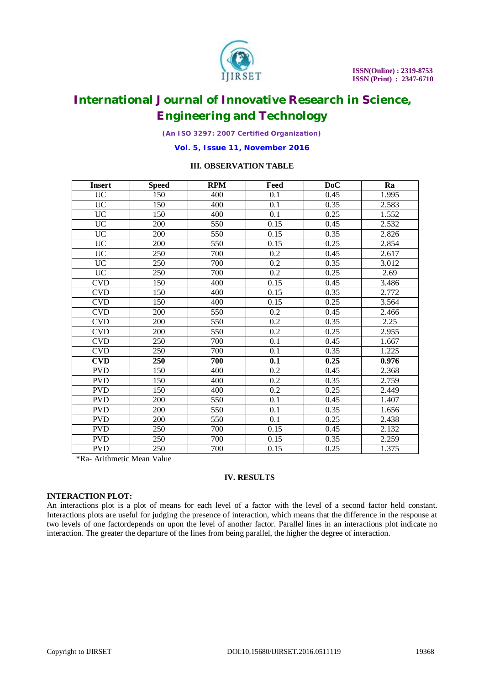

*(An ISO 3297: 2007 Certified Organization)*

**Vol. 5, Issue 11, November 2016**

# **III. OBSERVATION TABLE**

| <b>Insert</b>                         | <b>Speed</b>        | <b>RPM</b> | Feed | <b>DoC</b> | Ra    |
|---------------------------------------|---------------------|------------|------|------------|-------|
| <b>UC</b>                             | 150                 | 400        | 0.1  | 0.45       | 1.995 |
| <b>UC</b>                             | 150                 | 400        | 0.1  | 0.35       | 2.583 |
| $\overline{UC}$                       | 150                 | 400        | 0.1  | 0.25       | 1.552 |
| <b>UC</b>                             | 200                 | 550        | 0.15 | 0.45       | 2.532 |
| <b>UC</b>                             | 200                 | 550        | 0.15 | 0.35       | 2.826 |
| <b>UC</b>                             | 200                 | 550        | 0.15 | 0.25       | 2.854 |
| <b>UC</b>                             | 250                 | 700        | 0.2  | 0.45       | 2.617 |
| <b>UC</b>                             | 250                 | 700        | 0.2  | 0.35       | 3.012 |
| $\overline{UC}$                       | 250                 | 700        | 0.2  | 0.25       | 2.69  |
| <b>CVD</b>                            | 150                 | 400        | 0.15 | 0.45       | 3.486 |
| <b>CVD</b>                            | 150                 | 400        | 0.15 | 0.35       | 2.772 |
| <b>CVD</b>                            | 150                 | 400        | 0.15 | 0.25       | 3.564 |
| <b>CVD</b>                            | 200                 | 550        | 0.2  | 0.45       | 2.466 |
| <b>CVD</b>                            | 200                 | 550        | 0.2  | 0.35       | 2.25  |
| <b>CVD</b>                            | 200                 | 550        | 0.2  | 0.25       | 2.955 |
| <b>CVD</b>                            | 250                 | 700        | 0.1  | 0.45       | 1.667 |
| <b>CVD</b>                            | 250                 | 700        | 0.1  | 0.35       | 1.225 |
| <b>CVD</b>                            | 250                 | 700        | 0.1  | 0.25       | 0.976 |
| <b>PVD</b>                            | 150                 | 400        | 0.2  | 0.45       | 2.368 |
| <b>PVD</b>                            | 150                 | 400        | 0.2  | 0.35       | 2.759 |
| <b>PVD</b>                            | 150                 | 400        | 0.2  | 0.25       | 2.449 |
| <b>PVD</b>                            | 200                 | 550        | 0.1  | 0.45       | 1.407 |
| <b>PVD</b>                            | 200                 | 550        | 0.1  | 0.35       | 1.656 |
| <b>PVD</b>                            | 200                 | 550        | 0.1  | 0.25       | 2.438 |
| <b>PVD</b>                            | 250                 | 700        | 0.15 | 0.45       | 2.132 |
| <b>PVD</b>                            | 250                 | 700        | 0.15 | 0.35       | 2.259 |
| <b>PVD</b><br>$\cdot$ $\cdot$ $\cdot$ | 250<br><b>x x x</b> | 700        | 0.15 | 0.25       | 1.375 |

\*Ra- Arithmetic Mean Value

#### **IV. RESULTS**

### **INTERACTION PLOT:**

An interactions plot is a plot of means for each level of a factor with the level of a second factor held constant. Interactions plots are useful for judging the presence of interaction, which means that the difference in the response at two levels of one factordepends on upon the level of another factor. Parallel lines in an interactions plot indicate no interaction. The greater the departure of the lines from being parallel, the higher the degree of interaction.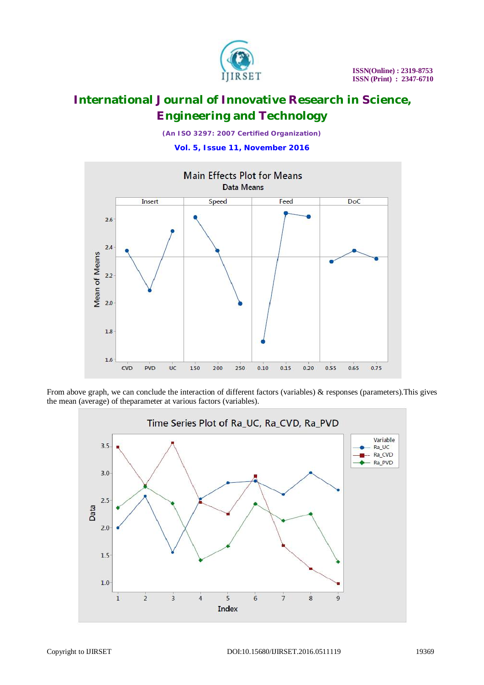

*(An ISO 3297: 2007 Certified Organization)*

**Vol. 5, Issue 11, November 2016**



From above graph, we can conclude the interaction of different factors (variables) & responses (parameters). This gives the mean (average) of theparameter at various factors (variables).

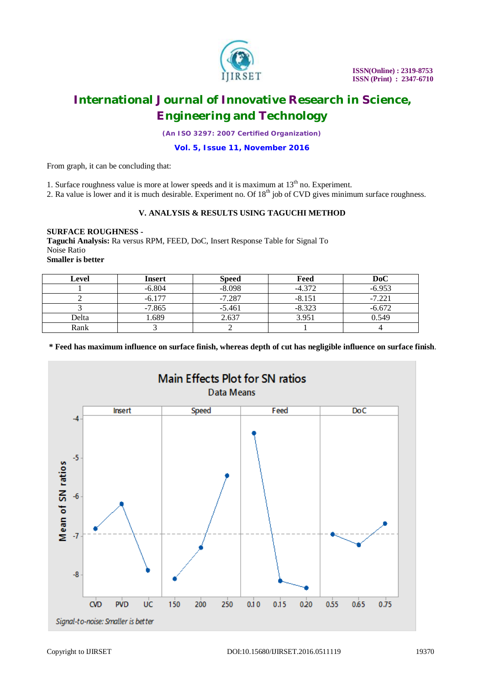

*(An ISO 3297: 2007 Certified Organization)*

### **Vol. 5, Issue 11, November 2016**

From graph, it can be concluding that:

1. Surface roughness value is more at lower speeds and it is maximum at  $13<sup>th</sup>$  no. Experiment.

2. Ra value is lower and it is much desirable. Experiment no. Of 18<sup>th</sup> job of CVD gives minimum surface roughness.

# **V. ANALYSIS & RESULTS USING TAGUCHI METHOD**

#### **SURFACE ROUGHNESS -**

**Taguchi Analysis:** Ra versus RPM, FEED, DoC, Insert Response Table for Signal To Noise Ratio **Smaller is better**

| Level | <b>Insert</b> | <b>Speed</b> | Feed     | DoC      |
|-------|---------------|--------------|----------|----------|
|       | $-6.804$      | $-8.098$     | $-4.372$ | $-6.953$ |
|       | $-6.177$      | $-7.287$     | $-8.151$ | $-7.221$ |
|       | $-7.865$      | $-5.461$     | $-8.323$ | $-6.672$ |
| Delta | 1.689         | 2.637        | 3.951    | 0.549    |
| Rank  |               |              |          |          |

**\* Feed has maximum influence on surface finish, whereas depth of cut has negligible influence on surface finish**.

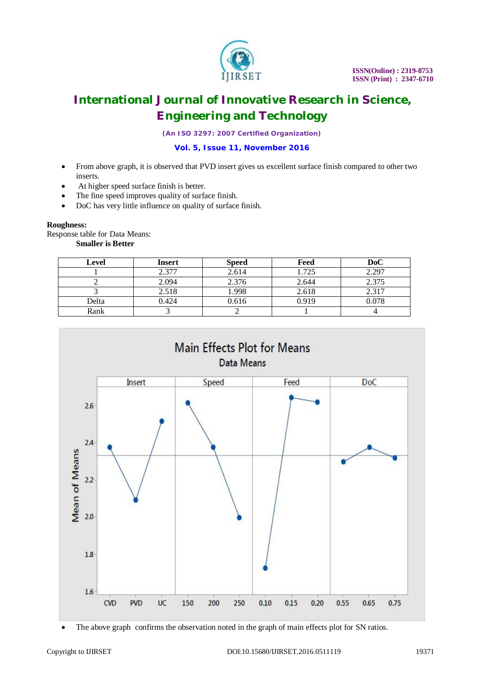

*(An ISO 3297: 2007 Certified Organization)*

### **Vol. 5, Issue 11, November 2016**

- From above graph, it is observed that PVD insert gives us excellent surface finish compared to other two inserts.
- At higher speed surface finish is better.
- The fine speed improves quality of surface finish.
- DoC has very little influence on quality of surface finish.

#### **Roughness:**

Response table for Data Means: **Smaller is Better**

| Level | <b>Insert</b> | <b>Speed</b> | Feed  | DoC   |
|-------|---------------|--------------|-------|-------|
|       | 2.377         | 2.614        | 1.725 | 2.297 |
|       | 2.094         | 2.376        | 2.644 | 2.375 |
|       | 2.518         | 1.998        | 2.618 | 2.317 |
| Delta | 0.424         | 0.616        | 0.919 | 0.078 |
| Rank  |               |              |       |       |



The above graph confirms the observation noted in the graph of main effects plot for SN ratios.